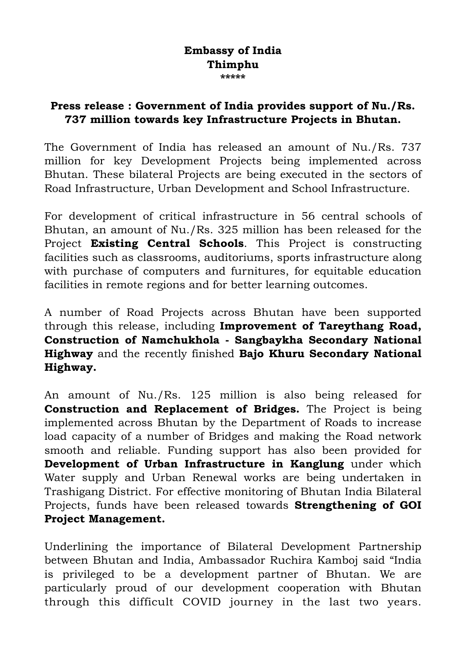## **Embassy of India Thimphu \*\*\*\*\***

## **Press release : Government of India provides support of Nu./Rs. 737 million towards key Infrastructure Projects in Bhutan.**

The Government of India has released an amount of Nu./Rs. 737 million for key Development Projects being implemented across Bhutan. These bilateral Projects are being executed in the sectors of Road Infrastructure, Urban Development and School Infrastructure.

For development of critical infrastructure in 56 central schools of Bhutan, an amount of Nu./Rs. 325 million has been released for the Project **Existing Central Schools**. This Project is constructing facilities such as classrooms, auditoriums, sports infrastructure along with purchase of computers and furnitures, for equitable education facilities in remote regions and for better learning outcomes.

A number of Road Projects across Bhutan have been supported through this release, including **Improvement of Tareythang Road, Construction of Namchukhola - Sangbaykha Secondary National Highway** and the recently finished **Bajo Khuru Secondary National Highway.** 

An amount of Nu./Rs. 125 million is also being released for **Construction and Replacement of Bridges.** The Project is being implemented across Bhutan by the Department of Roads to increase load capacity of a number of Bridges and making the Road network smooth and reliable. Funding support has also been provided for **Development of Urban Infrastructure in Kanglung** under which Water supply and Urban Renewal works are being undertaken in Trashigang District. For effective monitoring of Bhutan India Bilateral Projects, funds have been released towards **Strengthening of GOI Project Management.**

Underlining the importance of Bilateral Development Partnership between Bhutan and India, Ambassador Ruchira Kamboj said "India is privileged to be a development partner of Bhutan. We are particularly proud of our development cooperation with Bhutan through this difficult COVID journey in the last two years.